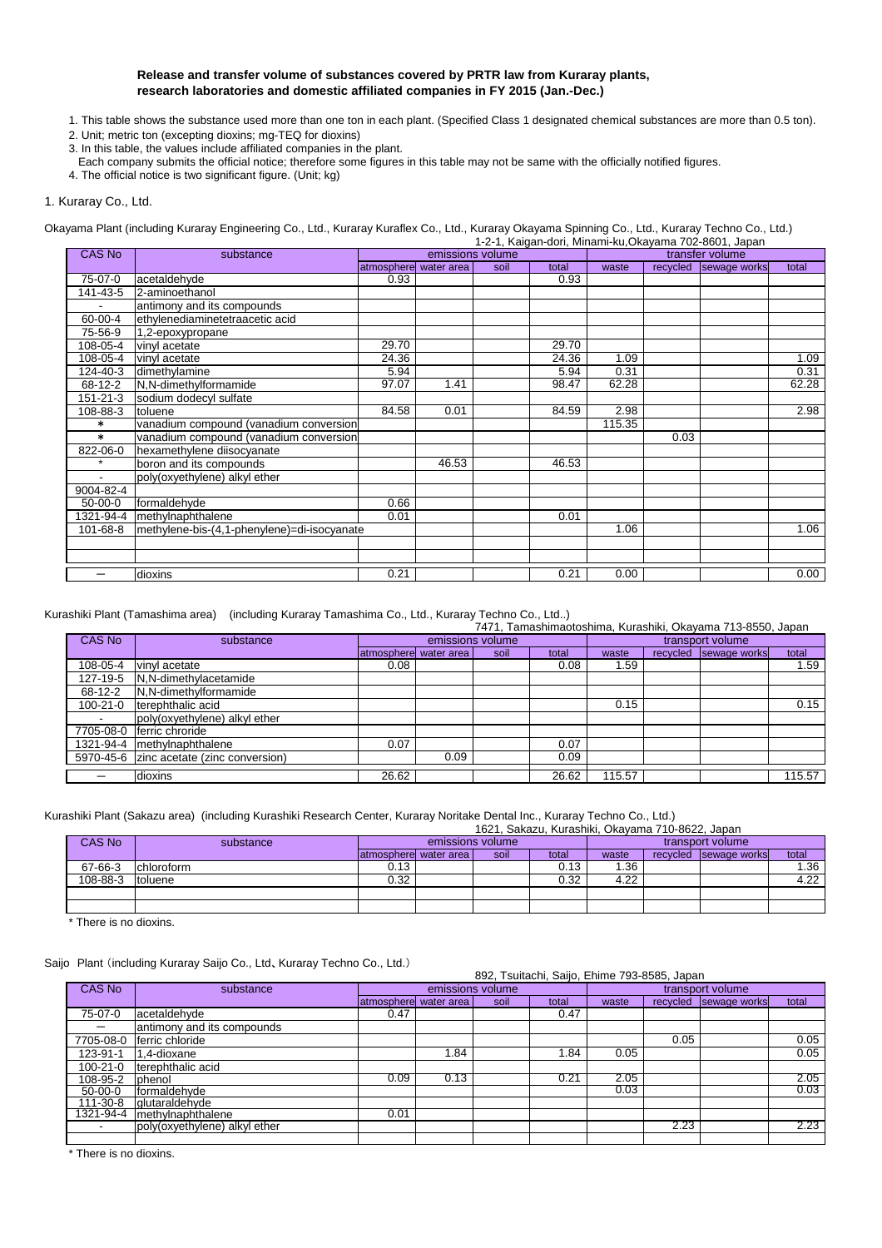### **Release and transfer volume of substances covered by PRTR law from Kuraray plants, research laboratories and domestic affiliated companies in FY 2015 (Jan.-Dec.)**

- 1. This table shows the substance used more than one ton in each plant. (Specified Class 1 designated chemical substances are more than 0.5 ton).
- 2. Unit; metric ton (excepting dioxins; mg-TEQ for dioxins)
- 3. In this table, the values include affiliated companies in the plant.
- Each company submits the official notice; therefore some figures in this table may not be same with the officially notified figures.
- 4. The official notice is two significant figure. (Unit; kg)

### 1. Kuraray Co., Ltd.

Okayama Plant (including Kuraray Engineering Co., Ltd., Kuraray Kuraflex Co., Ltd., Kuraray Okayama Spinning Co., Ltd., Kuraray Techno Co., Ltd.) 1-2-1, Kaigan-dori, Minami-ku,Okayama 702-8601, Japan

| <b>CAS No</b>  | substance                                   |                        | emissions volume |      | 1-2-1, Naiyah-yon, Mililahir Nu, Okayahia 702-000 F, Japan | transfer volume |      |                       |       |  |
|----------------|---------------------------------------------|------------------------|------------------|------|------------------------------------------------------------|-----------------|------|-----------------------|-------|--|
|                |                                             | atmospherel water area |                  | soil | total                                                      | waste           |      | recycled sewage works | total |  |
| 75-07-0        | acetaldehyde                                | 0.93                   |                  |      | 0.93                                                       |                 |      |                       |       |  |
| 141-43-5       | 2-aminoethanol                              |                        |                  |      |                                                            |                 |      |                       |       |  |
| $\blacksquare$ | antimony and its compounds                  |                        |                  |      |                                                            |                 |      |                       |       |  |
| 60-00-4        | ethylenediaminetetraacetic acid             |                        |                  |      |                                                            |                 |      |                       |       |  |
| 75-56-9        | 1,2-epoxypropane                            |                        |                  |      |                                                            |                 |      |                       |       |  |
| 108-05-4       | vinyl acetate                               | 29.70                  |                  |      | 29.70                                                      |                 |      |                       |       |  |
| 108-05-4       | vinyl acetate                               | 24.36                  |                  |      | 24.36                                                      | 1.09            |      |                       | 1.09  |  |
| 124-40-3       | dimethylamine                               | 5.94                   |                  |      | 5.94                                                       | 0.31            |      |                       | 0.31  |  |
| 68-12-2        | N,N-dimethylformamide                       | 97.07                  | 1.41             |      | 98.47                                                      | 62.28           |      |                       | 62.28 |  |
| 151-21-3       | sodium dodecyl sulfate                      |                        |                  |      |                                                            |                 |      |                       |       |  |
| 108-88-3       | toluene                                     | 84.58                  | 0.01             |      | 84.59                                                      | 2.98            |      |                       | 2.98  |  |
| $\ast$         | vanadium compound (vanadium conversion      |                        |                  |      |                                                            | 115.35          |      |                       |       |  |
| $\ast$         | vanadium compound (vanadium conversion      |                        |                  |      |                                                            |                 | 0.03 |                       |       |  |
| 822-06-0       | hexamethylene diisocyanate                  |                        |                  |      |                                                            |                 |      |                       |       |  |
| $\star$        | boron and its compounds                     |                        | 46.53            |      | 46.53                                                      |                 |      |                       |       |  |
|                | poly(oxyethylene) alkyl ether               |                        |                  |      |                                                            |                 |      |                       |       |  |
| 9004-82-4      |                                             |                        |                  |      |                                                            |                 |      |                       |       |  |
| 50-00-0        | formaldehyde                                | 0.66                   |                  |      |                                                            |                 |      |                       |       |  |
| 1321-94-4      | methylnaphthalene                           | 0.01                   |                  |      | 0.01                                                       |                 |      |                       |       |  |
| 101-68-8       | methylene-bis-(4,1-phenylene)=di-isocyanate |                        |                  |      |                                                            | 1.06            |      |                       | 1.06  |  |
|                |                                             |                        |                  |      |                                                            |                 |      |                       |       |  |
|                |                                             |                        |                  |      |                                                            |                 |      |                       |       |  |
|                | dioxins                                     | 0.21                   |                  |      | 0.21                                                       | 0.00            |      |                       | 0.00  |  |

Kurashiki Plant (Tamashima area) (including Kuraray Tamashima Co., Ltd., Kuraray Techno Co., Ltd..)

|           |                                          |                         |      | 7471, Tamashimaotoshima, Kurashiki, Okayama 713-8550, Japan |       |                  |          |              |        |  |  |  |
|-----------|------------------------------------------|-------------------------|------|-------------------------------------------------------------|-------|------------------|----------|--------------|--------|--|--|--|
| CAS No    | substance                                | emissions volume        |      |                                                             |       | transport volume |          |              |        |  |  |  |
|           |                                          | latmospherel water area |      | soil                                                        | total | waste            | recycled | sewage works | total  |  |  |  |
| 108-05-4  | vinvl acetate                            | 0.08                    |      |                                                             | 0.08  | 1.59             |          |              | 1.59   |  |  |  |
| 127-19-5  | N,N-dimethylacetamide                    |                         |      |                                                             |       |                  |          |              |        |  |  |  |
| 68-12-2   | N,N-dimethylformamide                    |                         |      |                                                             |       |                  |          |              |        |  |  |  |
| 100-21-0  | terephthalic acid                        |                         |      |                                                             |       | 0.15             |          |              | 0.15   |  |  |  |
|           | poly(oxyethylene) alkyl ether            |                         |      |                                                             |       |                  |          |              |        |  |  |  |
| 7705-08-0 | ferric chroride                          |                         |      |                                                             |       |                  |          |              |        |  |  |  |
| 1321-94-4 | methylnaphthalene                        | 0.07                    |      |                                                             | 0.07  |                  |          |              |        |  |  |  |
|           | 5970-45-6 zinc acetate (zinc conversion) |                         | 0.09 |                                                             | 0.09  |                  |          |              |        |  |  |  |
|           | dioxins                                  | 26.62                   |      |                                                             | 26.62 | 115.57           |          |              | 115.57 |  |  |  |

### Kurashiki Plant (Sakazu area) (including Kurashiki Research Center, Kuraray Noritake Dental Inc., Kuraray Techno Co., Ltd.)

|          | 1621, Sakazu, Kurashiki, Okayama 710-8622, Japan |                  |                        |      |                  |       |          |              |       |
|----------|--------------------------------------------------|------------------|------------------------|------|------------------|-------|----------|--------------|-------|
| CAS No   | substance                                        | emissions volume |                        |      | transport volume |       |          |              |       |
|          |                                                  |                  | latmosphere water area | soil | total            | waste | recycled | sewage works | total |
| 67-66-3  | chloroform                                       | 0.13             |                        |      | 0.13             | .36   |          |              | l.36  |
| 108-88-3 | Itoluene                                         | 0.32             |                        |      | 0.32             | 4.22  |          |              | 4.22  |
|          |                                                  |                  |                        |      |                  |       |          |              |       |
|          |                                                  |                  |                        |      |                  |       |          |              |       |

\* There is no dioxins.

### Saijo Plant (including Kuraray Saijo Co., Ltd、Kuraray Techno Co., Ltd.)

|                |                               | 892, Tsuitachi, Saijo, Ehime 793-8585, Japan |      |      |       |       |                  |              |       |  |
|----------------|-------------------------------|----------------------------------------------|------|------|-------|-------|------------------|--------------|-------|--|
| CAS No         | substance                     | emissions volume                             |      |      |       |       | transport volume |              |       |  |
|                |                               | atmosphere water area                        |      | soil | total | waste | recycled         | sewage works | total |  |
| 75-07-0        | acetaldehyde                  | 0.47                                         |      |      | 0.47  |       |                  |              |       |  |
| —              | antimony and its compounds    |                                              |      |      |       |       |                  |              |       |  |
| 7705-08-0      | ferric chloride               |                                              |      |      |       |       | 0.05             |              | 0.05  |  |
| 123-91-1       | 1,4-dioxane                   |                                              | . 84 |      | .84   | 0.05  |                  |              | 0.05  |  |
| $100 - 21 - 0$ | terephthalic acid             |                                              |      |      |       |       |                  |              |       |  |
| 108-95-2       | phenol                        | 0.09                                         | 0.13 |      | 0.21  | 2.05  |                  |              | 2.05  |  |
| $50-00-0$      | formaldehyde                  |                                              |      |      |       | 0.03  |                  |              | 0.03  |  |
| 111-30-8       | glutaraldehyde                |                                              |      |      |       |       |                  |              |       |  |
| 1321-94-4      | methylnaphthalene             | 0.01                                         |      |      |       |       |                  |              |       |  |
|                | poly(oxyethylene) alkyl ether |                                              |      |      |       |       | 2.23             |              | 2.23  |  |
|                |                               |                                              |      |      |       |       |                  |              |       |  |

\* There is no dioxins.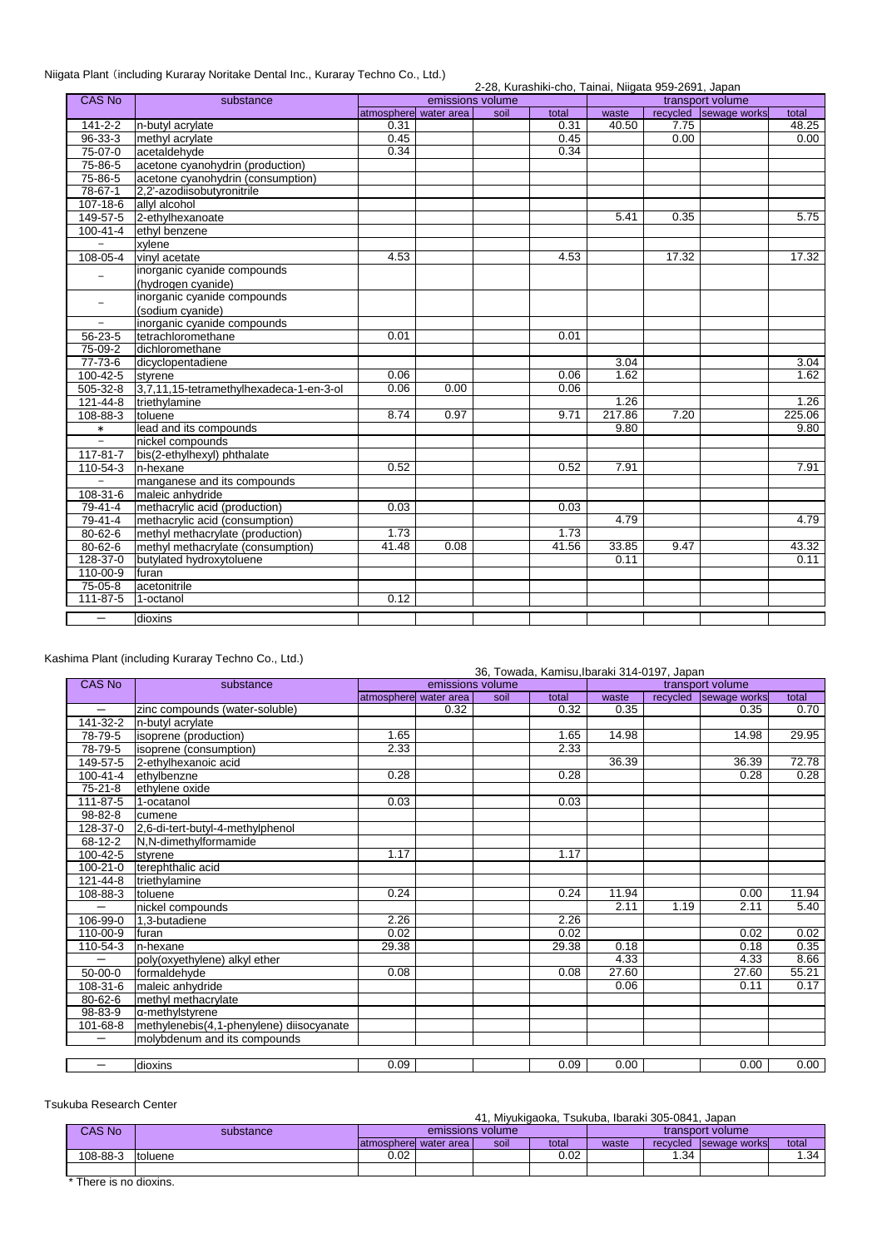# Niigata Plant (including Kuraray Noritake Dental Inc., Kuraray Techno Co., Ltd.)

|  | 2-28, Kurashiki-cho, Tainai, Niigata 959-2691, Japan |  |
|--|------------------------------------------------------|--|
|  |                                                      |  |

| <b>CAS No</b>            | substance                               | emissions volume      |      |      | transport volume |        |       |                       |        |
|--------------------------|-----------------------------------------|-----------------------|------|------|------------------|--------|-------|-----------------------|--------|
|                          |                                         | atmosphere water area |      | soil | total            | waste  |       | recycled sewage works | total  |
| $141 - 2 - 2$            | n-butyl acrylate                        | 0.31                  |      |      | 0.31             | 40.50  | 7.75  |                       | 48.25  |
| $96 - 33 - 3$            | methyl acrylate                         | 0.45                  |      |      | 0.45             |        | 0.00  |                       | 0.00   |
| $75-07-0$                | acetaldehyde                            | 0.34                  |      |      | 0.34             |        |       |                       |        |
| 75-86-5                  | acetone cyanohydrin (production)        |                       |      |      |                  |        |       |                       |        |
| 75-86-5                  | acetone cyanohydrin (consumption)       |                       |      |      |                  |        |       |                       |        |
| $78-67-1$                | 2,2'-azodiisobutyronitrile              |                       |      |      |                  |        |       |                       |        |
| 107-18-6                 | allyl alcohol                           |                       |      |      |                  |        |       |                       |        |
| 149-57-5                 | 2-ethylhexanoate                        |                       |      |      |                  | 5.41   | 0.35  |                       | 5.75   |
| $100 - 41 - 4$           | ethyl benzene                           |                       |      |      |                  |        |       |                       |        |
| $\equiv$                 | xylene                                  |                       |      |      |                  |        |       |                       |        |
| 108-05-4                 | vinyl acetate                           | 4.53                  |      |      | 4.53             |        | 17.32 |                       | 17.32  |
| $\equiv$                 | inorganic cyanide compounds             |                       |      |      |                  |        |       |                       |        |
|                          | (hydrogen cyanide)                      |                       |      |      |                  |        |       |                       |        |
| $\equiv$                 | inorganic cyanide compounds             |                       |      |      |                  |        |       |                       |        |
|                          | (sodium cyanide)                        |                       |      |      |                  |        |       |                       |        |
| $\overline{\phantom{a}}$ | inorganic cyanide compounds             |                       |      |      |                  |        |       |                       |        |
| 56-23-5                  | tetrachloromethane                      | 0.01                  |      |      | 0.01             |        |       |                       |        |
| 75-09-2                  | dichloromethane                         |                       |      |      |                  |        |       |                       |        |
| $77 - 73 - 6$            | dicyclopentadiene                       |                       |      |      |                  | 3.04   |       |                       | 3.04   |
| $100 - 42 - 5$           | styrene                                 | 0.06                  |      |      | 0.06             | 1.62   |       |                       | 1.62   |
| 505-32-8                 | 3.7.11.15-tetramethylhexadeca-1-en-3-ol | 0.06                  | 0.00 |      | 0.06             |        |       |                       |        |
| 121-44-8                 | triethylamine                           |                       |      |      |                  | 1.26   |       |                       | 1.26   |
| 108-88-3                 | toluene                                 | 8.74                  | 0.97 |      | 9.71             | 217.86 | 7.20  |                       | 225.06 |
| $\ast$                   | lead and its compounds                  |                       |      |      |                  | 9.80   |       |                       | 9.80   |
| $\bar{ }$                | nickel compounds                        |                       |      |      |                  |        |       |                       |        |
| 117-81-7                 | bis(2-ethylhexyl) phthalate             |                       |      |      |                  |        |       |                       |        |
| 110-54-3                 | n-hexane                                | 0.52                  |      |      | 0.52             | 7.91   |       |                       | 7.91   |
| $\qquad \qquad -$        | manganese and its compounds             |                       |      |      |                  |        |       |                       |        |
| 108-31-6                 | maleic anhydride                        |                       |      |      |                  |        |       |                       |        |
| 79-41-4                  | methacrylic acid (production)           | 0.03                  |      |      | 0.03             |        |       |                       |        |
| 79-41-4                  | methacrylic acid (consumption)          |                       |      |      |                  | 4.79   |       |                       | 4.79   |
| $80 - 62 - 6$            | methyl methacrylate (production)        | 1.73                  |      |      | 1.73             |        |       |                       |        |
| 80-62-6                  | methyl methacrylate (consumption)       | 41.48                 | 0.08 |      | 41.56            | 33.85  | 9.47  |                       | 43.32  |
| 128-37-0                 | butylated hydroxytoluene                |                       |      |      |                  | 0.11   |       |                       | 0.11   |
| 110-00-9                 | furan                                   |                       |      |      |                  |        |       |                       |        |
| 75-05-8                  | acetonitrile                            |                       |      |      |                  |        |       |                       |        |
| $111 - 87 - 5$           | 1-octanol                               | 0.12                  |      |      |                  |        |       |                       |        |
| $\overline{\phantom{0}}$ | dioxins                                 |                       |      |      |                  |        |       |                       |        |

# Kashima Plant (including Kuraray Techno Co., Ltd.)

|                   |                                          |                   |                       |      | 36, Towada, Kamisu, Ibaraki 314-0197, Japan |       |          |                  |       |
|-------------------|------------------------------------------|-------------------|-----------------------|------|---------------------------------------------|-------|----------|------------------|-------|
| CAS No            | substance                                |                   | emissions volume      |      |                                             |       |          | transport volume |       |
|                   |                                          |                   | atmosphere water area | soil | total                                       | waste | recycled | sewage works     | total |
|                   | zinc compounds (water-soluble)           |                   | 0.32                  |      | 0.32                                        | 0.35  |          | 0.35             | 0.70  |
| 141-32-2          | n-butyl acrylate                         |                   |                       |      |                                             |       |          |                  |       |
| 78-79-5           | isoprene (production)                    | $\overline{1.65}$ |                       |      | 1.65                                        | 14.98 |          | 14.98            | 29.95 |
| 78-79-5           | isoprene (consumption)                   | 2.33              |                       |      | 2.33                                        |       |          |                  |       |
| 149-57-5          | 2-ethylhexanoic acid                     |                   |                       |      |                                             | 36.39 |          | 36.39            | 72.78 |
| 100-41-4          | ethylbenzne                              | 0.28              |                       |      | 0.28                                        |       |          | 0.28             | 0.28  |
| $75-21-8$         | ethylene oxide                           |                   |                       |      |                                             |       |          |                  |       |
| 111-87-5          | 1-ocatanol                               | 0.03              |                       |      | 0.03                                        |       |          |                  |       |
| 98-82-8           | cumene                                   |                   |                       |      |                                             |       |          |                  |       |
| 128-37-0          | 2,6-di-tert-butyl-4-methylphenol         |                   |                       |      |                                             |       |          |                  |       |
| 68-12-2           | <b>N.N-dimethvlformamide</b>             |                   |                       |      |                                             |       |          |                  |       |
| 100-42-5          | stvrene                                  | 1.17              |                       |      | 1.17                                        |       |          |                  |       |
| $100 - 21 - 0$    | terephthalic acid                        |                   |                       |      |                                             |       |          |                  |       |
| 121-44-8          | triethylamine                            |                   |                       |      |                                             |       |          |                  |       |
| 108-88-3          | toluene                                  | 0.24              |                       |      | 0.24                                        | 11.94 |          | 0.00             | 11.94 |
| $\qquad \qquad -$ | nickel compounds                         |                   |                       |      |                                             | 2.11  | 1.19     | 2.11             | 5.40  |
| 106-99-0          | 1.3-butadiene                            | 2.26              |                       |      | 2.26                                        |       |          |                  |       |
| 110-00-9          | furan                                    | 0.02              |                       |      | 0.02                                        |       |          | 0.02             | 0.02  |
| 110-54-3          | n-hexane                                 | 29.38             |                       |      | 29.38                                       | 0.18  |          | 0.18             | 0.35  |
| -                 | poly(oxyethylene) alkyl ether            |                   |                       |      |                                             | 4.33  |          | 4.33             | 8.66  |
| 50-00-0           | formaldehyde                             | 0.08              |                       |      | 0.08                                        | 27.60 |          | 27.60            | 55.21 |
| 108-31-6          | maleic anhydride                         |                   |                       |      |                                             | 0.06  |          | 0.11             | 0.17  |
| 80-62-6           | methyl methacrylate                      |                   |                       |      |                                             |       |          |                  |       |
| 98-83-9           | α-methylstyrene                          |                   |                       |      |                                             |       |          |                  |       |
| 101-68-8          | methylenebis(4,1-phenylene) diisocyanate |                   |                       |      |                                             |       |          |                  |       |
|                   | molybdenum and its compounds             |                   |                       |      |                                             |       |          |                  |       |
|                   |                                          |                   |                       |      |                                             |       |          |                  |       |
| $\qquad \qquad$   | dioxins                                  | 0.09              |                       |      | 0.09                                        | 0.00  |          | 0.00             | 0.00  |

# Tsukuba Research Center

|          | 41, Miyukigaoka, Tsukuba, Ibaraki 305-0841, Japan |                           |  |      |       |                  |          |              |       |  |
|----------|---------------------------------------------------|---------------------------|--|------|-------|------------------|----------|--------------|-------|--|
| CAS No   | substance                                         | emissions volume          |  |      |       | transport volume |          |              |       |  |
|          |                                                   | latmospherel water area l |  | soil | total | waste            | recycled | sewage works | total |  |
| 108-88-3 | toluene                                           | 0.02                      |  |      | 0.02  |                  | .34      |              | .34   |  |
|          |                                                   |                           |  |      |       |                  |          |              |       |  |
| . .      |                                                   |                           |  |      |       |                  |          |              |       |  |